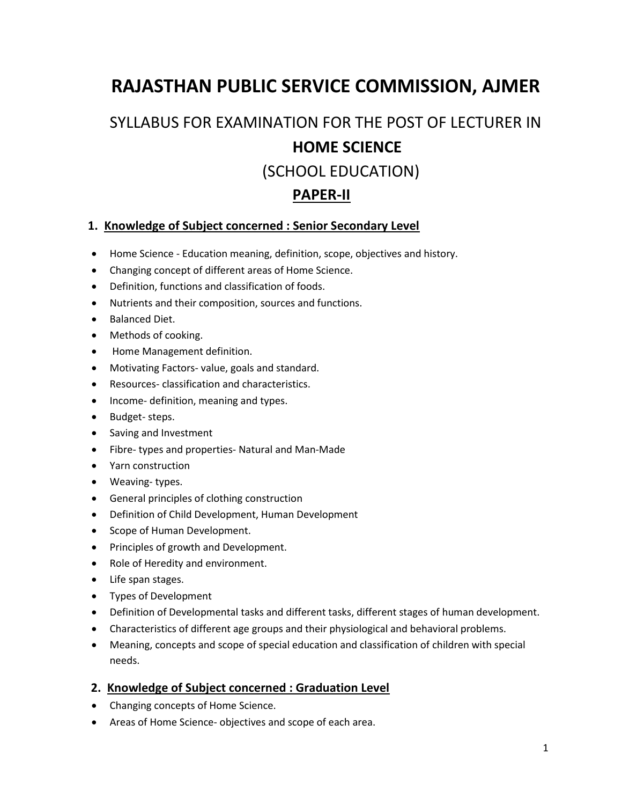# **RAJASTHAN PUBLIC SERVICE COMMISSION, AJMER**

# SYLLABUS FOR EXAMINATION FOR THE POST OF LECTURER IN **HOME SCIENCE** (SCHOOL EDUCATION) **PAPER-II**

### **1. Knowledge of Subject concerned : Senior Secondary Level**

- Home Science Education meaning, definition, scope, objectives and history.
- Changing concept of different areas of Home Science.
- Definition, functions and classification of foods.
- Nutrients and their composition, sources and functions.
- Balanced Diet.
- Methods of cooking.
- Home Management definition.
- Motivating Factors- value, goals and standard.
- Resources- classification and characteristics.
- Income- definition, meaning and types.
- Budget- steps.
- Saving and Investment
- Fibre- types and properties- Natural and Man-Made
- Yarn construction
- Weaving- types.
- General principles of clothing construction
- Definition of Child Development, Human Development
- Scope of Human Development.
- Principles of growth and Development.
- Role of Heredity and environment.
- Life span stages.
- Types of Development
- Definition of Developmental tasks and different tasks, different stages of human development.
- Characteristics of different age groups and their physiological and behavioral problems.
- Meaning, concepts and scope of special education and classification of children with special needs.

### **2. Knowledge of Subject concerned : Graduation Level**

- Changing concepts of Home Science.
- Areas of Home Science- objectives and scope of each area.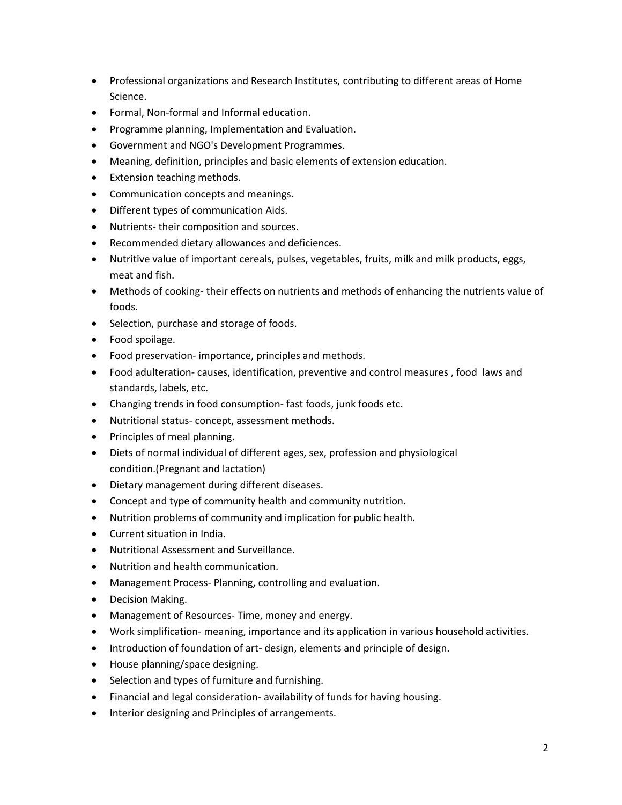- Professional organizations and Research Institutes, contributing to different areas of Home Science.
- Formal, Non-formal and Informal education.
- Programme planning, Implementation and Evaluation.
- Government and NGO's Development Programmes.
- Meaning, definition, principles and basic elements of extension education.
- Extension teaching methods.
- Communication concepts and meanings.
- Different types of communication Aids.
- Nutrients- their composition and sources.
- Recommended dietary allowances and deficiences.
- Nutritive value of important cereals, pulses, vegetables, fruits, milk and milk products, eggs, meat and fish.
- Methods of cooking- their effects on nutrients and methods of enhancing the nutrients value of foods.
- Selection, purchase and storage of foods.
- Food spoilage.
- Food preservation- importance, principles and methods.
- Food adulteration- causes, identification, preventive and control measures , food laws and standards, labels, etc.
- Changing trends in food consumption- fast foods, junk foods etc.
- Nutritional status- concept, assessment methods.
- Principles of meal planning.
- Diets of normal individual of different ages, sex, profession and physiological condition.(Pregnant and lactation)
- Dietary management during different diseases.
- Concept and type of community health and community nutrition.
- Nutrition problems of community and implication for public health.
- Current situation in India.
- Nutritional Assessment and Surveillance.
- Nutrition and health communication.
- Management Process- Planning, controlling and evaluation.
- Decision Making.
- Management of Resources- Time, money and energy.
- Work simplification- meaning, importance and its application in various household activities.
- Introduction of foundation of art- design, elements and principle of design.
- House planning/space designing.
- Selection and types of furniture and furnishing.
- Financial and legal consideration- availability of funds for having housing.
- Interior designing and Principles of arrangements.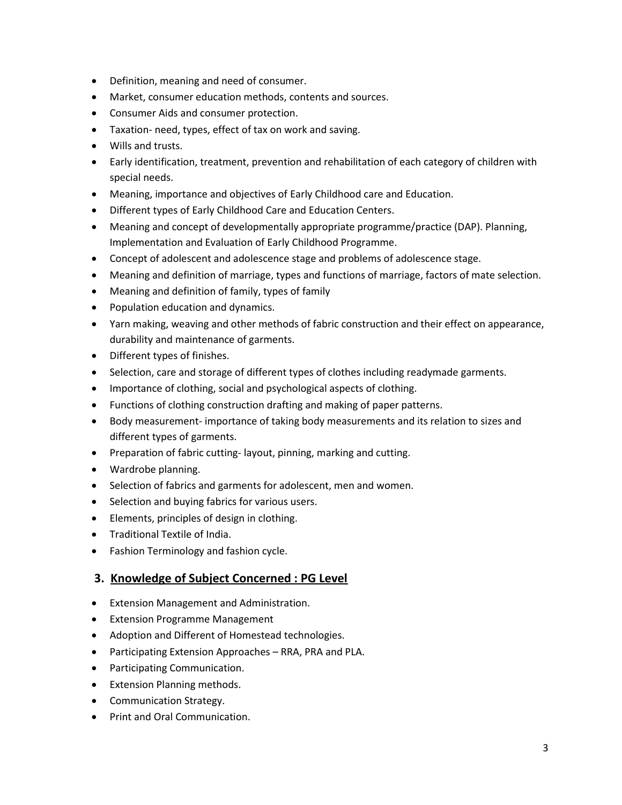- Definition, meaning and need of consumer.
- Market, consumer education methods, contents and sources.
- Consumer Aids and consumer protection.
- Taxation- need, types, effect of tax on work and saving.
- Wills and trusts.
- Early identification, treatment, prevention and rehabilitation of each category of children with special needs.
- Meaning, importance and objectives of Early Childhood care and Education.
- Different types of Early Childhood Care and Education Centers.
- Meaning and concept of developmentally appropriate programme/practice (DAP). Planning, Implementation and Evaluation of Early Childhood Programme.
- Concept of adolescent and adolescence stage and problems of adolescence stage.
- Meaning and definition of marriage, types and functions of marriage, factors of mate selection.
- Meaning and definition of family, types of family
- Population education and dynamics.
- Yarn making, weaving and other methods of fabric construction and their effect on appearance, durability and maintenance of garments.
- Different types of finishes.
- Selection, care and storage of different types of clothes including readymade garments.
- Importance of clothing, social and psychological aspects of clothing.
- Functions of clothing construction drafting and making of paper patterns.
- Body measurement- importance of taking body measurements and its relation to sizes and different types of garments.
- Preparation of fabric cutting-layout, pinning, marking and cutting.
- Wardrobe planning.
- Selection of fabrics and garments for adolescent, men and women.
- Selection and buying fabrics for various users.
- Elements, principles of design in clothing.
- Traditional Textile of India.
- Fashion Terminology and fashion cycle.

#### **3. Knowledge of Subject Concerned : PG Level**

- Extension Management and Administration.
- Extension Programme Management
- Adoption and Different of Homestead technologies.
- Participating Extension Approaches RRA, PRA and PLA.
- Participating Communication.
- Extension Planning methods.
- Communication Strategy.
- Print and Oral Communication.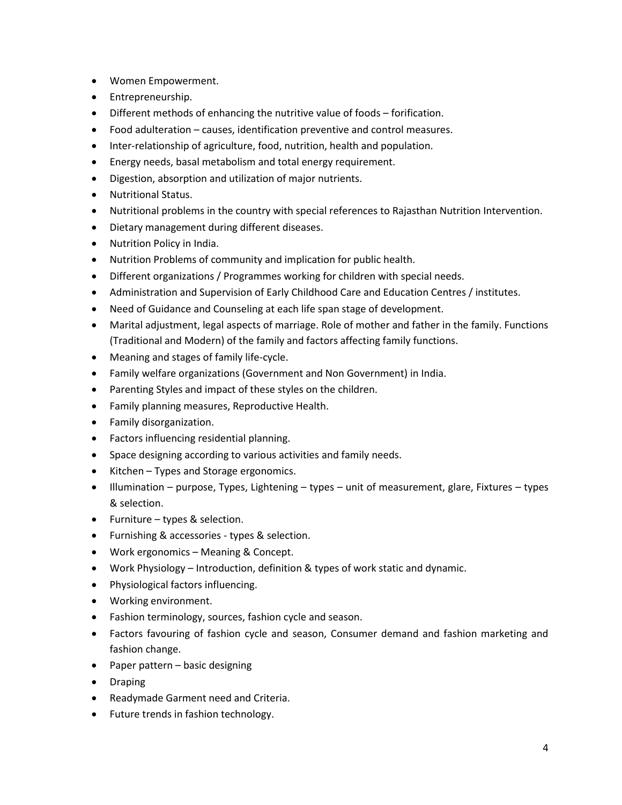- Women Empowerment.
- Entrepreneurship.
- Different methods of enhancing the nutritive value of foods forification.
- Food adulteration causes, identification preventive and control measures.
- Inter-relationship of agriculture, food, nutrition, health and population.
- Energy needs, basal metabolism and total energy requirement.
- Digestion, absorption and utilization of major nutrients.
- Nutritional Status.
- Nutritional problems in the country with special references to Rajasthan Nutrition Intervention.
- Dietary management during different diseases.
- Nutrition Policy in India.
- Nutrition Problems of community and implication for public health.
- Different organizations / Programmes working for children with special needs.
- Administration and Supervision of Early Childhood Care and Education Centres / institutes.
- Need of Guidance and Counseling at each life span stage of development.
- Marital adjustment, legal aspects of marriage. Role of mother and father in the family. Functions (Traditional and Modern) of the family and factors affecting family functions.
- Meaning and stages of family life-cycle.
- Family welfare organizations (Government and Non Government) in India.
- Parenting Styles and impact of these styles on the children.
- Family planning measures, Reproductive Health.
- Family disorganization.
- Factors influencing residential planning.
- Space designing according to various activities and family needs.
- Kitchen Types and Storage ergonomics.
- $\bullet$  Illumination purpose, Types, Lightening types unit of measurement, glare, Fixtures types & selection.
- Furniture types & selection.
- Furnishing & accessories types & selection.
- Work ergonomics Meaning & Concept.
- Work Physiology Introduction, definition & types of work static and dynamic.
- Physiological factors influencing.
- Working environment.
- Fashion terminology, sources, fashion cycle and season.
- Factors favouring of fashion cycle and season, Consumer demand and fashion marketing and fashion change.
- Paper pattern basic designing
- Draping
- Readymade Garment need and Criteria.
- Future trends in fashion technology.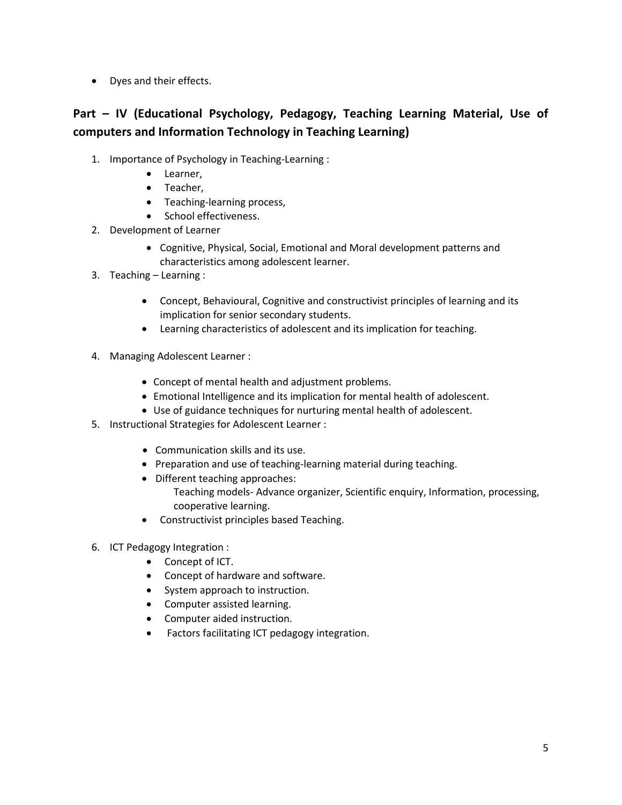• Dyes and their effects.

# **Part – IV (Educational Psychology, Pedagogy, Teaching Learning Material, Use of computers and Information Technology in Teaching Learning)**

- 1. Importance of Psychology in Teaching-Learning :
	- Learner,
	- Teacher,
	- Teaching-learning process,
	- School effectiveness.
- 2. Development of Learner
	- Cognitive, Physical, Social, Emotional and Moral development patterns and characteristics among adolescent learner.
- 3. Teaching Learning :
	- Concept, Behavioural, Cognitive and constructivist principles of learning and its implication for senior secondary students.
	- Learning characteristics of adolescent and its implication for teaching.
- 4. Managing Adolescent Learner :
	- Concept of mental health and adjustment problems.
	- Emotional Intelligence and its implication for mental health of adolescent.
	- Use of guidance techniques for nurturing mental health of adolescent.
- 5. Instructional Strategies for Adolescent Learner :
	- Communication skills and its use.
	- Preparation and use of teaching-learning material during teaching.
	- Different teaching approaches: Teaching models- Advance organizer, Scientific enquiry, Information, processing,
		- cooperative learning. Constructivist principles based Teaching.
- 6. ICT Pedagogy Integration :
	- Concept of ICT.
	- Concept of hardware and software.
	- System approach to instruction.
	- Computer assisted learning.
	- Computer aided instruction.
	- Factors facilitating ICT pedagogy integration.